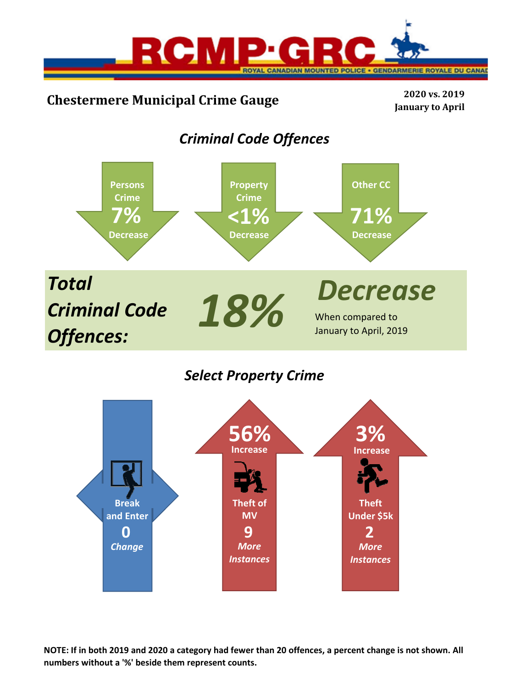

# **Chestermere Municipal Crime Gauge <sup>2020</sup> vs. <sup>2019</sup>**

**January to April**

# *Criminal Code Offences*



*Select Property Crime*



**NOTE: If in both 2019 and 2020 a category had fewer than 20 offences, a percent change is not shown. All numbers without a '%' beside them represent counts.**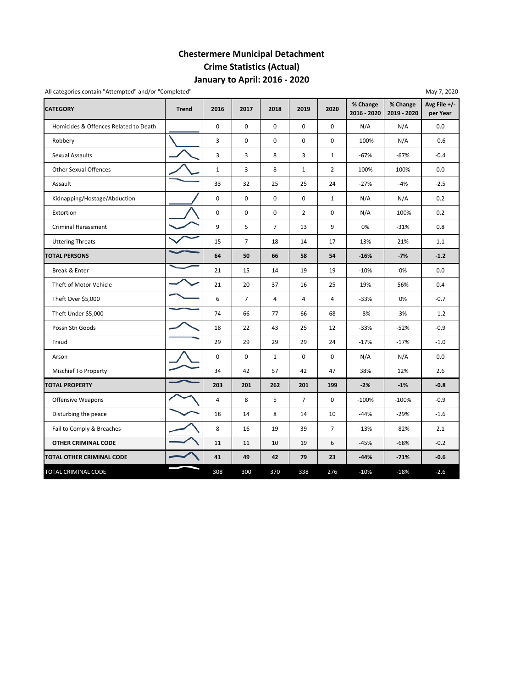## **January to April: 2016 ‐ 2020 Chestermere Municipal Detachment Crime Statistics (Actual)**

| All categories contain "Attempted" and/or "Completed" |              |                |                |                |                |                | % Change    | % Change    | May 7, 2020<br>Avg File +/- |
|-------------------------------------------------------|--------------|----------------|----------------|----------------|----------------|----------------|-------------|-------------|-----------------------------|
| <b>CATEGORY</b>                                       | <b>Trend</b> | 2016           | 2017           | 2018           | 2019           | 2020           | 2016 - 2020 | 2019 - 2020 | per Year                    |
| Homicides & Offences Related to Death                 |              | $\mathbf 0$    | $\mathbf 0$    | 0              | 0              | $\mathbf 0$    | N/A         | N/A         | 0.0                         |
| Robbery                                               |              | 3              | 0              | 0              | 0              | 0              | $-100%$     | N/A         | $-0.6$                      |
| <b>Sexual Assaults</b>                                |              | 3              | 3              | 8              | 3              | $\mathbf{1}$   | $-67%$      | $-67%$      | $-0.4$                      |
| <b>Other Sexual Offences</b>                          |              | $\mathbf 1$    | 3              | 8              | $\mathbf{1}$   | $\overline{2}$ | 100%        | 100%        | 0.0                         |
| Assault                                               |              | 33             | 32             | 25             | 25             | 24             | $-27%$      | $-4%$       | $-2.5$                      |
| Kidnapping/Hostage/Abduction                          |              | $\mathbf 0$    | $\mathbf 0$    | 0              | $\mathbf 0$    | $\mathbf{1}$   | N/A         | N/A         | 0.2                         |
| Extortion                                             |              | $\mathbf 0$    | $\mathbf 0$    | $\mathbf 0$    | $\overline{2}$ | $\mathbf 0$    | N/A         | $-100%$     | 0.2                         |
| <b>Criminal Harassment</b>                            |              | 9              | 5              | $\overline{7}$ | 13             | 9              | 0%          | $-31%$      | 0.8                         |
| <b>Uttering Threats</b>                               |              | 15             | $\overline{7}$ | 18             | 14             | 17             | 13%         | 21%         | 1.1                         |
| <b>TOTAL PERSONS</b>                                  |              | 64             | 50             | 66             | 58             | 54             | $-16%$      | $-7%$       | $-1.2$                      |
| Break & Enter                                         |              | 21             | 15             | 14             | 19             | 19             | $-10%$      | 0%          | 0.0                         |
| Theft of Motor Vehicle                                |              | 21             | 20             | 37             | 16             | 25             | 19%         | 56%         | 0.4                         |
| Theft Over \$5,000                                    |              | 6              | $\overline{7}$ | 4              | 4              | $\overline{4}$ | $-33%$      | 0%          | $-0.7$                      |
| Theft Under \$5,000                                   |              | 74             | 66             | 77             | 66             | 68             | $-8%$       | 3%          | $-1.2$                      |
| Possn Stn Goods                                       |              | 18             | 22             | 43             | 25             | 12             | $-33%$      | $-52%$      | $-0.9$                      |
| Fraud                                                 |              | 29             | 29             | 29             | 29             | 24             | $-17%$      | $-17%$      | $-1.0$                      |
| Arson                                                 |              | 0              | 0              | $\mathbf{1}$   | 0              | 0              | N/A         | N/A         | 0.0                         |
| Mischief To Property                                  |              | 34             | 42             | 57             | 42             | 47             | 38%         | 12%         | 2.6                         |
| <b>TOTAL PROPERTY</b>                                 |              | 203            | 201            | 262            | 201            | 199            | $-2%$       | $-1%$       | $-0.8$                      |
| <b>Offensive Weapons</b>                              |              | $\overline{4}$ | 8              | 5              | $\overline{7}$ | $\mathbf 0$    | $-100%$     | $-100%$     | $-0.9$                      |
| Disturbing the peace                                  |              | 18             | 14             | 8              | 14             | 10             | $-44%$      | $-29%$      | $-1.6$                      |
| Fail to Comply & Breaches                             |              | 8              | 16             | 19             | 39             | $\overline{7}$ | $-13%$      | $-82%$      | 2.1                         |
| OTHER CRIMINAL CODE                                   |              | 11             | 11             | 10             | 19             | 6              | $-45%$      | $-68%$      | $-0.2$                      |
| TOTAL OTHER CRIMINAL CODE                             |              | 41             | 49             | 42             | 79             | 23             | $-44%$      | $-71%$      | $-0.6$                      |
| TOTAL CRIMINAL CODE                                   |              | 308            | 300            | 370            | 338            | 276            | $-10%$      | $-18%$      | $-2.6$                      |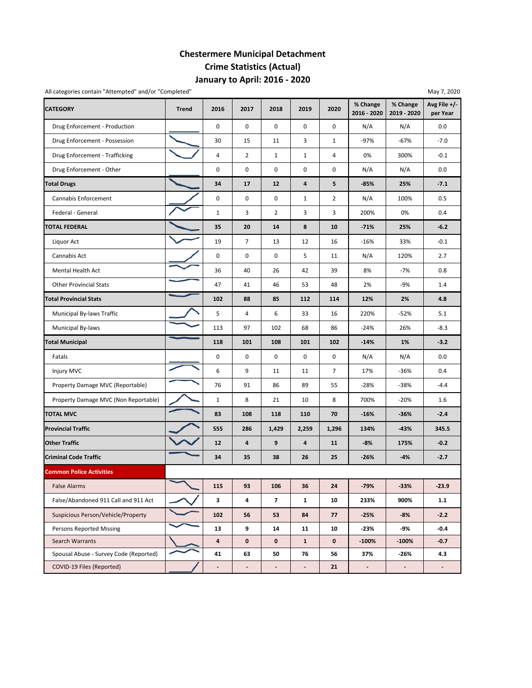## **January to April: 2016 ‐ 2020 Chestermere Municipal Detachment Crime Statistics (Actual)**

| All categories contain "Attempted" and/or "Completed" |              |                          |                          |                          |                          |                |                          |                         | May 7, 2020              |
|-------------------------------------------------------|--------------|--------------------------|--------------------------|--------------------------|--------------------------|----------------|--------------------------|-------------------------|--------------------------|
| <b>CATEGORY</b>                                       | <b>Trend</b> | 2016                     | 2017                     | 2018                     | 2019                     | 2020           | % Change<br>2016 - 2020  | % Change<br>2019 - 2020 | Avg File +/-<br>per Year |
| Drug Enforcement - Production                         |              | 0                        | $\mathbf 0$              | 0                        | $\mathsf 0$              | 0              | N/A                      | N/A                     | 0.0                      |
| Drug Enforcement - Possession                         |              | 30                       | 15                       | 11                       | 3                        | $\mathbf{1}$   | $-97%$                   | $-67%$                  | $-7.0$                   |
| Drug Enforcement - Trafficking                        |              | $\overline{4}$           | $\overline{2}$           | $\mathbf{1}$             | $\mathbf{1}$             | 4              | 0%                       | 300%                    | $-0.1$                   |
| Drug Enforcement - Other                              |              | $\mathsf 0$              | 0                        | 0                        | 0                        | 0              | N/A                      | N/A                     | 0.0                      |
| <b>Total Drugs</b>                                    |              | 34                       | 17                       | 12                       | 4                        | 5              | $-85%$                   | 25%                     | $-7.1$                   |
| Cannabis Enforcement                                  |              | 0                        | 0                        | 0                        | $\mathbf{1}$             | $\overline{2}$ | N/A                      | 100%                    | 0.5                      |
| Federal - General                                     |              | $1\,$                    | 3                        | $\overline{2}$           | 3                        | 3              | 200%                     | 0%                      | 0.4                      |
| <b>TOTAL FEDERAL</b>                                  |              | 35                       | 20                       | 14                       | 8                        | 10             | $-71%$                   | 25%                     | $-6.2$                   |
| Liquor Act                                            |              | 19                       | 7                        | 13                       | 12                       | 16             | $-16%$                   | 33%                     | $-0.1$                   |
| Cannabis Act                                          |              | 0                        | 0                        | 0                        | 5                        | 11             | N/A                      | 120%                    | 2.7                      |
| Mental Health Act                                     |              | 36                       | 40                       | 26                       | 42                       | 39             | 8%                       | $-7%$                   | 0.8                      |
| <b>Other Provincial Stats</b>                         |              | 47                       | 41                       | 46                       | 53                       | 48             | 2%                       | $-9%$                   | 1.4                      |
| <b>Total Provincial Stats</b>                         |              | 102                      | 88                       | 85                       | 112                      | 114            | 12%                      | 2%                      | 4.8                      |
| Municipal By-laws Traffic                             |              | 5                        | 4                        | 6                        | 33                       | 16             | 220%                     | $-52%$                  | 5.1                      |
| Municipal By-laws                                     |              | 113                      | 97                       | 102                      | 68                       | 86             | $-24%$                   | 26%                     | $-8.3$                   |
| <b>Total Municipal</b>                                |              | 118                      | 101                      | 108                      | 101                      | 102            | $-14%$                   | 1%                      | $-3.2$                   |
| Fatals                                                |              | 0                        | 0                        | 0                        | $\mathbf 0$              | 0              | N/A                      | N/A                     | 0.0                      |
| Injury MVC                                            |              | 6                        | 9                        | 11                       | 11                       | $\overline{7}$ | 17%                      | $-36%$                  | 0.4                      |
| Property Damage MVC (Reportable)                      |              | 76                       | 91                       | 86                       | 89                       | 55             | $-28%$                   | $-38%$                  | $-4.4$                   |
| Property Damage MVC (Non Reportable)                  |              | $\mathbf{1}$             | 8                        | 21                       | 10                       | 8              | 700%                     | $-20%$                  | 1.6                      |
| <b>TOTAL MVC</b>                                      |              | 83                       | 108                      | 118                      | 110                      | 70             | $-16%$                   | $-36%$                  | $-2.4$                   |
| <b>Provincial Traffic</b>                             |              | 555                      | 286                      | 1,429                    | 2,259                    | 1,296          | 134%                     | $-43%$                  | 345.5                    |
| <b>Other Traffic</b>                                  |              | 12                       | 4                        | 9                        | $\overline{\mathbf{4}}$  | 11             | $-8%$                    | 175%                    | $-0.2$                   |
| <b>Criminal Code Traffic</b>                          |              | 34                       | 35                       | 38                       | 26                       | 25             | $-26%$                   | $-4%$                   | $-2.7$                   |
| <b>Common Police Activities</b>                       |              |                          |                          |                          |                          |                |                          |                         |                          |
| <b>False Alarms</b>                                   |              | 115                      | 93                       | 106                      | 36                       | 24             | $-79%$                   | $-33%$                  | $-23.9$                  |
| False/Abandoned 911 Call and 911 Act                  |              | 3                        | 4                        | $\overline{7}$           | $\mathbf{1}$             | 10             | 233%                     | 900%                    | 1.1                      |
| Suspicious Person/Vehicle/Property                    |              | 102                      | 56                       | 53                       | 84                       | 77             | $-25%$                   | $-8%$                   | $-2.2$                   |
| <b>Persons Reported Missing</b>                       |              | 13                       | 9                        | 14                       | 11                       | 10             | -23%                     | -9%                     | $-0.4$                   |
| Search Warrants                                       |              | $\overline{\mathbf{a}}$  | 0                        | $\mathbf 0$              | $\mathbf{1}$             | $\mathbf 0$    | $-100%$                  | $-100%$                 | $-0.7$                   |
| Spousal Abuse - Survey Code (Reported)                |              | 41                       | 63                       | 50                       | 76                       | 56             | 37%                      | -26%                    | 4.3                      |
| COVID-19 Files (Reported)                             |              | $\overline{\phantom{0}}$ | $\overline{\phantom{a}}$ | $\overline{\phantom{a}}$ | $\overline{\phantom{a}}$ | 21             | $\overline{\phantom{a}}$ | $\blacksquare$          | $\overline{\phantom{a}}$ |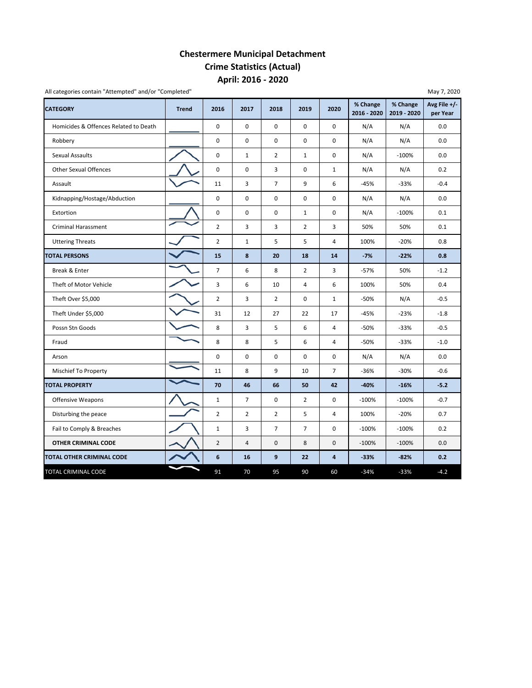### **April: 2016 ‐ 2020 Chestermere Municipal Detachment Crime Statistics (Actual)**

| <b>CATEGORY</b>                       | <b>Trend</b> | 2016           | 2017           | 2018           | 2019           | 2020           | % Change<br>2016 - 2020 | % Change<br>2019 - 2020 | Avg File +/-<br>per Year |
|---------------------------------------|--------------|----------------|----------------|----------------|----------------|----------------|-------------------------|-------------------------|--------------------------|
| Homicides & Offences Related to Death |              | $\mathbf 0$    | $\Omega$       | $\mathbf 0$    | $\mathbf 0$    | $\Omega$       | N/A                     | N/A                     | 0.0                      |
| Robbery                               |              | 0              | $\pmb{0}$      | $\pmb{0}$      | 0              | 0              | N/A                     | N/A                     | 0.0                      |
| Sexual Assaults                       |              | 0              | $\mathbf{1}$   | $\overline{2}$ | $\mathbf{1}$   | 0              | N/A                     | $-100%$                 | 0.0                      |
| <b>Other Sexual Offences</b>          |              | 0              | $\mathbf 0$    | 3              | 0              | $\mathbf{1}$   | N/A                     | N/A                     | 0.2                      |
| Assault                               |              | 11             | 3              | $\overline{7}$ | 9              | 6              | $-45%$                  | $-33%$                  | $-0.4$                   |
| Kidnapping/Hostage/Abduction          |              | 0              | $\pmb{0}$      | $\pmb{0}$      | 0              | 0              | N/A                     | N/A                     | 0.0                      |
| Extortion                             |              | 0              | 0              | 0              | $\mathbf{1}$   | 0              | N/A                     | $-100%$                 | 0.1                      |
| <b>Criminal Harassment</b>            |              | $\overline{2}$ | 3              | 3              | $\overline{2}$ | 3              | 50%                     | 50%                     | 0.1                      |
| <b>Uttering Threats</b>               |              | $\overline{2}$ | $\mathbf{1}$   | 5              | 5              | $\overline{4}$ | 100%                    | $-20%$                  | 0.8                      |
| <b>TOTAL PERSONS</b>                  |              | 15             | 8              | 20             | 18             | 14             | $-7%$                   | $-22%$                  | 0.8                      |
| Break & Enter                         |              | $\overline{7}$ | 6              | 8              | $\overline{2}$ | 3              | $-57%$                  | 50%                     | $-1.2$                   |
| Theft of Motor Vehicle                |              | 3              | 6              | 10             | $\overline{4}$ | 6              | 100%                    | 50%                     | 0.4                      |
| Theft Over \$5,000                    |              | $\overline{2}$ | 3              | $\overline{2}$ | 0              | $\mathbf{1}$   | $-50%$                  | N/A                     | $-0.5$                   |
| Theft Under \$5,000                   |              | 31             | 12             | 27             | 22             | 17             | -45%                    | $-23%$                  | $-1.8$                   |
| Possn Stn Goods                       |              | 8              | 3              | 5              | 6              | 4              | $-50%$                  | $-33%$                  | $-0.5$                   |
| Fraud                                 |              | 8              | 8              | 5              | 6              | 4              | $-50%$                  | $-33%$                  | $-1.0$                   |
| Arson                                 |              | $\mathbf 0$    | $\Omega$       | $\Omega$       | 0              | 0              | N/A                     | N/A                     | 0.0                      |
| Mischief To Property                  |              | 11             | 8              | 9              | 10             | $\overline{7}$ | $-36%$                  | $-30%$                  | $-0.6$                   |
| <b>TOTAL PROPERTY</b>                 |              | 70             | 46             | 66             | 50             | 42             | $-40%$                  | $-16%$                  | $-5.2$                   |
| <b>Offensive Weapons</b>              |              | $\mathbf{1}$   | $\overline{7}$ | $\mathbf 0$    | $\overline{2}$ | $\mathbf 0$    | $-100%$                 | $-100%$                 | $-0.7$                   |
| Disturbing the peace                  |              | $\overline{2}$ | $\overline{2}$ | $\overline{2}$ | 5              | $\overline{4}$ | 100%                    | $-20%$                  | 0.7                      |
| Fail to Comply & Breaches             |              | $\mathbf 1$    | 3              | $\overline{7}$ | $\overline{7}$ | 0              | $-100%$                 | $-100%$                 | 0.2                      |
| OTHER CRIMINAL CODE                   |              | $\overline{2}$ | $\sqrt{4}$     | $\mathsf 0$    | 8              | 0              | $-100%$                 | $-100%$                 | 0.0                      |
| TOTAL OTHER CRIMINAL CODE             |              | 6              | 16             | 9              | 22             | 4              | $-33%$                  | $-82%$                  | 0.2                      |
| TOTAL CRIMINAL CODE                   |              | 91             | 70             | 95             | 90             | 60             | $-34%$                  | $-33%$                  | $-4.2$                   |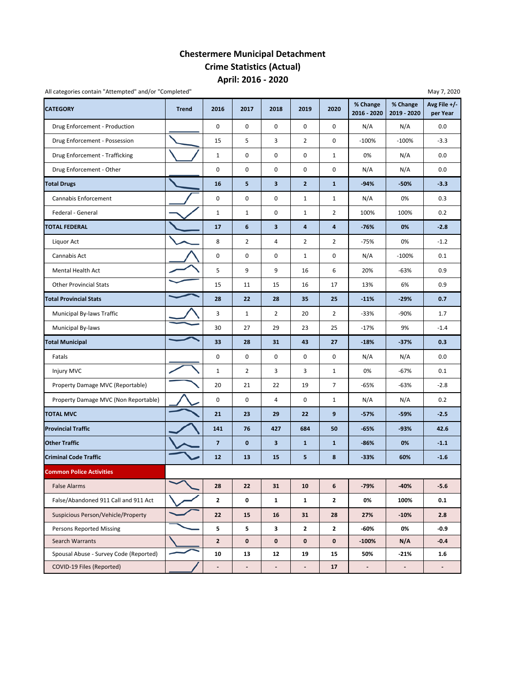### **April: 2016 ‐ 2020 Chestermere Municipal Detachment Crime Statistics (Actual)**

| All categories contain "Attempted" and/or "Completed" |              |                          |                          |                |                          |                |                          |                          | May 7, 2020              |
|-------------------------------------------------------|--------------|--------------------------|--------------------------|----------------|--------------------------|----------------|--------------------------|--------------------------|--------------------------|
| <b>CATEGORY</b>                                       | <b>Trend</b> | 2016                     | 2017                     | 2018           | 2019                     | 2020           | % Change<br>2016 - 2020  | % Change<br>2019 - 2020  | Avg File +/-<br>per Year |
| Drug Enforcement - Production                         |              | 0                        | 0                        | 0              | 0                        | 0              | N/A                      | N/A                      | 0.0                      |
| Drug Enforcement - Possession                         |              | 15                       | 5                        | 3              | $\overline{2}$           | 0              | $-100%$                  | $-100%$                  | $-3.3$                   |
| Drug Enforcement - Trafficking                        |              | $\mathbf{1}$             | 0                        | 0              | 0                        | $\mathbf{1}$   | 0%                       | N/A                      | 0.0                      |
| Drug Enforcement - Other                              |              | 0                        | 0                        | 0              | 0                        | 0              | N/A                      | N/A                      | 0.0                      |
| <b>Total Drugs</b>                                    |              | 16                       | 5                        | 3              | $\overline{2}$           | $\mathbf{1}$   | $-94%$                   | $-50%$                   | $-3.3$                   |
| Cannabis Enforcement                                  |              | $\mathbf 0$              | $\pmb{0}$                | 0              | $\mathbf{1}$             | $\mathbf{1}$   | N/A                      | 0%                       | 0.3                      |
| Federal - General                                     |              | $\mathbf{1}$             | $\mathbf{1}$             | 0              | $\mathbf 1$              | $\overline{2}$ | 100%                     | 100%                     | 0.2                      |
| <b>TOTAL FEDERAL</b>                                  |              | 17                       | $\boldsymbol{6}$         | 3              | 4                        | 4              | $-76%$                   | 0%                       | $-2.8$                   |
| Liquor Act                                            |              | 8                        | $\overline{2}$           | 4              | $\overline{2}$           | $\overline{2}$ | $-75%$                   | 0%                       | $-1.2$                   |
| Cannabis Act                                          |              | 0                        | 0                        | 0              | $\mathbf{1}$             | 0              | N/A                      | $-100%$                  | 0.1                      |
| Mental Health Act                                     |              | 5                        | 9                        | 9              | 16                       | 6              | 20%                      | $-63%$                   | 0.9                      |
| <b>Other Provincial Stats</b>                         |              | 15                       | 11                       | 15             | 16                       | 17             | 13%                      | 6%                       | 0.9                      |
| <b>Total Provincial Stats</b>                         |              | 28                       | 22                       | 28             | 35                       | 25             | $-11%$                   | $-29%$                   | 0.7                      |
| Municipal By-laws Traffic                             |              | 3                        | $1\,$                    | $\overline{2}$ | 20                       | $\overline{2}$ | $-33%$                   | $-90%$                   | 1.7                      |
| Municipal By-laws                                     |              | 30                       | 27                       | 29             | 23                       | 25             | $-17%$                   | 9%                       | $-1.4$                   |
| <b>Total Municipal</b>                                |              | 33                       | 28                       | 31             | 43                       | 27             | $-18%$                   | $-37%$                   | 0.3                      |
| Fatals                                                |              | 0                        | $\pmb{0}$                | 0              | 0                        | 0              | N/A                      | N/A                      | 0.0                      |
| Injury MVC                                            |              | $\mathbf{1}$             | 2                        | 3              | 3                        | $\mathbf{1}$   | 0%                       | $-67%$                   | 0.1                      |
| Property Damage MVC (Reportable)                      |              | 20                       | 21                       | 22             | 19                       | $\overline{7}$ | -65%                     | -63%                     | $-2.8$                   |
| Property Damage MVC (Non Reportable)                  |              | $\mathbf 0$              | 0                        | 4              | 0                        | $\mathbf{1}$   | N/A                      | N/A                      | 0.2                      |
| <b>TOTAL MVC</b>                                      |              | 21                       | 23                       | 29             | 22                       | 9              | $-57%$                   | $-59%$                   | $-2.5$                   |
| <b>Provincial Traffic</b>                             |              | 141                      | 76                       | 427            | 684                      | 50             | $-65%$                   | $-93%$                   | 42.6                     |
| <b>Other Traffic</b>                                  |              | $\overline{7}$           | $\mathbf 0$              | 3              | $\mathbf{1}$             | $\mathbf{1}$   | -86%                     | 0%                       | $-1.1$                   |
| <b>Criminal Code Traffic</b>                          |              | 12                       | 13                       | 15             | 5                        | 8              | $-33%$                   | 60%                      | $-1.6$                   |
| <b>Common Police Activities</b>                       |              |                          |                          |                |                          |                |                          |                          |                          |
| <b>False Alarms</b>                                   |              | 28                       | 22                       | 31             | 10                       | 6              | $-79%$                   | $-40%$                   | $-5.6$                   |
| False/Abandoned 911 Call and 911 Act                  |              | $\mathbf{z}$             | 0                        | $\mathbf{1}$   | $\mathbf{1}$             | $\mathbf{2}$   | 0%                       | 100%                     | 0.1                      |
| Suspicious Person/Vehicle/Property                    |              | 22                       | 15                       | 16             | 31                       | 28             | 27%                      | $-10%$                   | 2.8                      |
| <b>Persons Reported Missing</b>                       |              | 5                        | 5                        | 3              | $\mathbf{z}$             | $\mathbf{2}$   | -60%                     | 0%                       | -0.9                     |
| Search Warrants                                       |              | $\overline{2}$           | $\mathbf 0$              | $\mathbf 0$    | $\mathbf 0$              | $\mathbf 0$    | $-100%$                  | N/A                      | $-0.4$                   |
| Spousal Abuse - Survey Code (Reported)                |              | 10                       | 13                       | 12             | 19                       | 15             | 50%                      | $-21%$                   | $1.6\,$                  |
| COVID-19 Files (Reported)                             |              | $\overline{\phantom{a}}$ | $\overline{\phantom{m}}$ | ٠              | $\overline{\phantom{a}}$ | 17             | $\overline{\phantom{a}}$ | $\overline{\phantom{a}}$ | $\overline{\phantom{a}}$ |